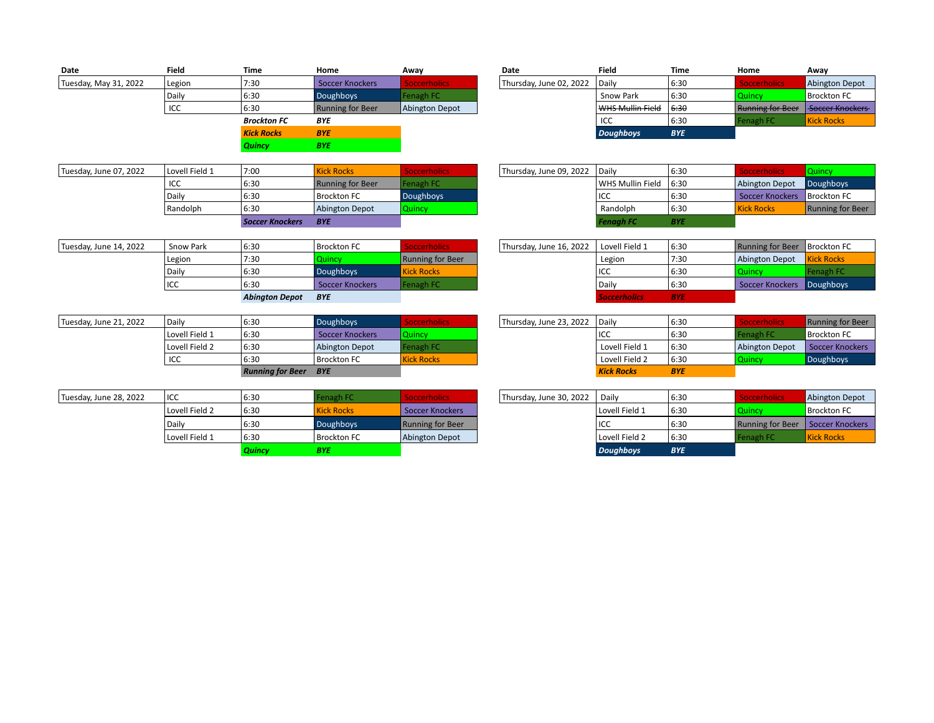| Date                  | <b>Field</b> | <b>Time</b>        | Home                    | Awav                | Date                    | <b>Field</b>     | Time       | Home                    | Away                  |
|-----------------------|--------------|--------------------|-------------------------|---------------------|-------------------------|------------------|------------|-------------------------|-----------------------|
| Tuesday, May 31, 2022 | Legion       | 7:30               | Soccer Knockers         | <b>Soccerholics</b> | Thursday, June 02, 2022 | l Daily          | 6:30       | <b>Soccerholics</b>     | <b>Abington Depot</b> |
|                       | Daily        | 6:30               | <b>Doughboys</b>        | Fenagh FC           |                         | Snow Park        | 6:30       | Quincy                  | <b>Brockton FC</b>    |
|                       | ICC          | 6:30               | <b>Running for Beer</b> | Abington Depot      |                         | WHS Mullin Field | 6:30       | <b>Running for Beer</b> | Soccer Knockers       |
|                       |              | <b>Brockton FC</b> | <b>BYE</b>              |                     |                         | ICC              | 6:30       | Fenagh FC               | <b>Kick Rocks</b>     |
|                       |              | <b>Kick Rocks</b>  | <b>BYE</b>              |                     |                         | <b>Doughboys</b> | <b>BYE</b> |                         |                       |
|                       |              | <b>Quincy</b>      | <b>BYE</b>              |                     |                         |                  |            |                         |                       |

|                                          | 6:30 | Abington Depot          | <b>Quincy</b> |                         | Randolph               | 6:30 | <b>Kick Rocks</b>         | Running |
|------------------------------------------|------|-------------------------|---------------|-------------------------|------------------------|------|---------------------------|---------|
| Randolph                                 |      |                         |               |                         |                        |      |                           |         |
| Daily                                    | 6:30 | <b>Brockton FC</b>      | Doughboys     |                         | licc                   | 6:30 | Soccer Knockers   Brockto |         |
| ICC                                      | 6:30 | <b>Running for Beer</b> | Fenagh FC     |                         | WHS Mullin Field 16:30 |      | <b>Abington Depot</b>     | Doughb  |
| Lovell Field 1<br>Tuesday, June 07, 2022 | 7:00 | <b>Kick Rocks</b>       |               | Thursday, June 09, 2022 | l Daily                | 6:30 |                           | uunuv   |

| <b>Field</b> | Time               | Home                    | Awav           | Date                    | <b>Field</b>     | Time       | Home                             | Awav                   |
|--------------|--------------------|-------------------------|----------------|-------------------------|------------------|------------|----------------------------------|------------------------|
| Legion       | 7:30               | Soccer Knockers         | occerholics    | Thursday, June 02, 2022 | <b>Daily</b>     | 6:30       | <b><i><u>occerholics</u></i></b> | Abington Depot         |
| Daily        | 6:30               | Doughboys               | Fenagh FC      |                         | Snow Park        | 6:30       | <b>Quincy</b>                    | <b>Brockton FC</b>     |
| ICC          | 6:30               | <b>Running for Beer</b> | Abington Depot |                         | WHS Mullin Field | 6:30       | <b>Running for Beer</b>          | <b>Soccer Knockers</b> |
|              | <b>Brockton FC</b> | <b>BYE</b>              |                |                         | ICC              | 6:30       | Fenagh FC                        | <b>Kick Rocks</b>      |
|              | <b>Kick Rocks</b>  | <b>BYE</b>              |                |                         | <b>Doughboys</b> | <b>BYE</b> |                                  |                        |

| Lovell Field 1 | 7:00                   | <b>Kick Rocks</b>  | <b>Soccerholics</b> | Thursday, June 09, 2022 | l Dailv          | 6:30       | Soccerholicy      | Quincy             |
|----------------|------------------------|--------------------|---------------------|-------------------------|------------------|------------|-------------------|--------------------|
| ICC            | 6:30                   | Running for Beer   | Fenagh FC           |                         | WHS Mullin Field | 16:30      | Abington Depot    | Doughboys          |
| Daily          | 6:30                   | <b>Brockton FC</b> | Doughboys           |                         | ICC              | 6:30       | Soccer Knockers   | <b>Brockton FC</b> |
| Randolph       | 6:30                   | Abington Depot     | Quincy              |                         | Randolph         | 6:30       | <b>Kick Rocks</b> | Running for Beer   |
|                | <b>Soccer Knockers</b> | <b>BYE</b>         |                     |                         | <b>Fenagh FC</b> | <b>BYE</b> |                   |                    |

| Legion<br>Daily | 7:30<br>6:30   | <b>Auincy</b><br><b>Doughboys</b> | <b>Running for Beer</b><br><b>Kick Rocks</b> | Legion<br>ICC | 7:30<br>6:30      | Abington Depot<br><b>Quincy</b> | <b>Kick Rocks</b> |
|-----------------|----------------|-----------------------------------|----------------------------------------------|---------------|-------------------|---------------------------------|-------------------|
| ICC             | 6:30           | Soccer Knockers                   | Fenagh FC                                    | Daily         | 6:30              | Soccer Knockers Doughboys       |                   |
|                 | Abinaton Denot | <b>RVF</b>                        |                                              |               | <b><i>RVF</i></b> |                                 |                   |

| 6:30<br>ICC                             | Brockton FC      | <b>Kick Rocks</b>            |                               | Lovell Field 2 | 6:30 | Quincy.        | <b>Doughboys</b>   |
|-----------------------------------------|------------------|------------------------------|-------------------------------|----------------|------|----------------|--------------------|
|                                         |                  |                              |                               |                |      |                |                    |
| l Lovell Field 2<br>6:30                | Abington Depot   | Fenagh FC                    |                               | Lovell Field 1 | 6:30 | Abington Depot | Soccer Knockers    |
| l Lovell Field 1<br>6:30                | Soccer Knockers  | O <sub>linear</sub><br>Quinc |                               | ICC            | 6:30 | Fenagh FC      | <b>Brockton FC</b> |
| 6:30<br>Daily<br>Tuesday, June 21, 2022 | <b>Doughboys</b> | soccerholics.                | Thursday, June 23, 2022 Daily |                | 6:30 |                | Running for Beer   |

*Abington Depot BYE Soccerholics BYE*

| Daily          | 6:30                    | <b>Doughboys</b>       | <b>Soccerholics</b> | Thursday, June 23, 2022 | l Daily           | 6:30       | occerholics           | Running for Beer   |
|----------------|-------------------------|------------------------|---------------------|-------------------------|-------------------|------------|-----------------------|--------------------|
| Lovell Field 1 | 6:30                    | <b>Soccer Knockers</b> | <b>Quincy</b>       |                         | licc              | 6:30       | Fenagh FC             | <b>Brockton FC</b> |
| Lovell Field 2 | 6:30                    | <b>Abington Depot</b>  | Fenagh FC           |                         | Lovell Field 1    | 16:30      | <b>Abington Depot</b> | Soccer Knockers    |
| ICC            | 6:30                    | l Brockton FC          | <b>Kick Rocks</b>   |                         | Lovell Field 2    | 6:30       | <b>Quincy</b>         | Doughboys          |
|                | <b>Running for Beer</b> | <b>BYE</b>             |                     |                         | <b>Kick Rocks</b> | <b>BYE</b> |                       |                    |

|                        |                | <b>Quincy</b> | <b>BYE</b>         |                         |                         | <b>Doughboys</b> | <b>BYE</b> |                                    |                    |
|------------------------|----------------|---------------|--------------------|-------------------------|-------------------------|------------------|------------|------------------------------------|--------------------|
|                        | Lovell Field 1 | 6:30          | <b>Brockton FC</b> | Abington Depot          |                         | Lovell Field 2   | 6:30       | Fenagh FC                          | <b>Kick Rocks</b>  |
|                        | Daily          | 6:30          | Doughboys          | <b>Running for Beer</b> |                         | ICC              | 6:30       | Running for Beer   Soccer Knockers |                    |
|                        | Lovell Field 2 | 6:30          | <b>Kick Rocks</b>  | Soccer Knockers         |                         | Lovell Field 1   | 6:30       | <b>Quincy</b>                      | <b>Brockton FC</b> |
| Tuesday, June 28, 2022 | <b>IICC</b>    | 6:30          | enagh FC           | Soccorbolice :          | Thursday, June 30, 2022 | Dailv            | 6:30       |                                    | Abington Depot     |

| ICC            | 6:30          | Fenagh FC         | <b>Soccerholics</b>     | Thursday, June 30, 2022 | Daily            | 6:30       | <b>Soccerholics</b>                | Abington Depot     |
|----------------|---------------|-------------------|-------------------------|-------------------------|------------------|------------|------------------------------------|--------------------|
| Lovell Field 2 | 6:30          | <b>Kick Rocks</b> | <b>Soccer Knockers</b>  |                         | l Lovell Field 1 | 6:30       | Quincv                             | <b>Brockton FC</b> |
| Daily          | 6:30          | <b>Doughboys</b>  | <b>Running for Beer</b> |                         | ICC              | 6:30       | Running for Beer   Soccer Knockers |                    |
| Lovell Field 1 | 6:30          | Brockton FC       | Abington Depot          |                         | l Lovell Field 2 | 6:30       | Fenagh FC                          | <b>Kick Rocks</b>  |
|                | <b>Quincy</b> | <b>BYE</b>        |                         |                         | <b>Doughboys</b> | <b>BYE</b> |                                    |                    |